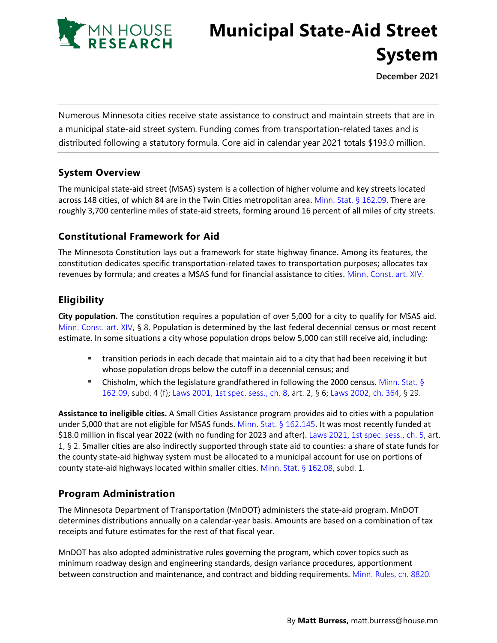

# **Municipal State-Aid Street System**

**December 2021**

Numerous Minnesota cities receive state assistance to construct and maintain streets that are in a municipal state-aid street system. Funding comes from transportation-related taxes and is distributed following a statutory formula. Core aid in calendar year 2021 totals \$193.0 million.

# **System Overview**

The municipal state-aid street (MSAS) system is a collection of higher volume and key streets located across 148 cities, of which 84 are in the Twin Cities metropolitan area. [Minn. Stat. §](https://www.revisor.mn.gov/statutes/2021/cite/162.09) 162.09. There are roughly 3,700 centerline miles of state-aid streets, forming around 16 percent of all miles of city streets.

# **Constitutional Framework for Aid**

The Minnesota Constitution lays out a framework for state highway finance. Among its features, the constitution dedicates specific transportation-related taxes to transportation purposes; allocates tax revenues by formula; and creates a MSAS fund for financial assistance to cities. [Minn. Const. art. XIV.](https://www.revisor.mn.gov/constitution/#article_14)

# **Eligibility**

**City population.** The constitution requires a population of over 5,000 for a city to qualify for MSAS aid. [Minn. Const. art. XIV,](https://www.revisor.mn.gov/constitution/#article_14) § 8. Population is determined by the last federal decennial census or most recent estimate. In some situations a city whose population drops below 5,000 can still receive aid, including:

- transition periods in each decade that maintain aid to a city that had been receiving it but whose population drops below the cutoff in a decennial census; and
- **Chisholm, which the legislature grandfathered in following the 2000 census.** [Minn. Stat.](https://www.revisor.mn.gov/statutes/2021/cite/162.09) § [162.09](https://www.revisor.mn.gov/statutes/2021/cite/162.09), subd. 4 (f); Laws 2001, 1st [spec. sess., ch. 8,](https://www.revisor.mn.gov/laws/2001/1/Session+Law/Chapter/8/) art. 2, § 6; [Laws 2002,](https://www.revisor.mn.gov/laws/2002/0/Session+Law/Chapter/364/) ch. 364, § 29.

**Assistance to ineligible cities.** A Small Cities Assistance program provides aid to cities with a population under 5,000 that are not eligible for MSAS funds. [Minn. Stat. §](https://www.revisor.mn.gov/statutes/2021/cite/162.145) 162.145. It was most recently funded at \$18.0 million in fiscal year 2022 (with no funding for 2023 and after). [Laws 2021, 1st spec.](https://www.revisor.mn.gov/laws/2021/1/Session+Law/Chapter/5/) sess., ch. 5, art. 1, § 2. Smaller cities are also indirectly supported through state aid to counties: a share of state funds for the county state-aid highway system must be allocated to a municipal account for use on portions of county state-aid highways located within smaller cities. [Minn. Stat. §](https://www.revisor.mn.gov/statutes/2021/cite/162.08) 162.08, subd. 1.

### **Program Administration**

The Minnesota Department of Transportation (MnDOT) administers the state-aid program. MnDOT determines distributions annually on a calendar-year basis. Amounts are based on a combination of tax receipts and future estimates for the rest of that fiscal year.

MnDOT has also adopted administrative rules governing the program, which cover topics such as minimum roadway design and engineering standards, design variance procedures, apportionment between construction and maintenance, and contract and bidding requirements. [Minn. Rules, ch. 8820.](https://www.revisor.mn.gov/rules/8820/?keyword_type=all&keyword=8820&keyword_sg=rule&redirect=0)